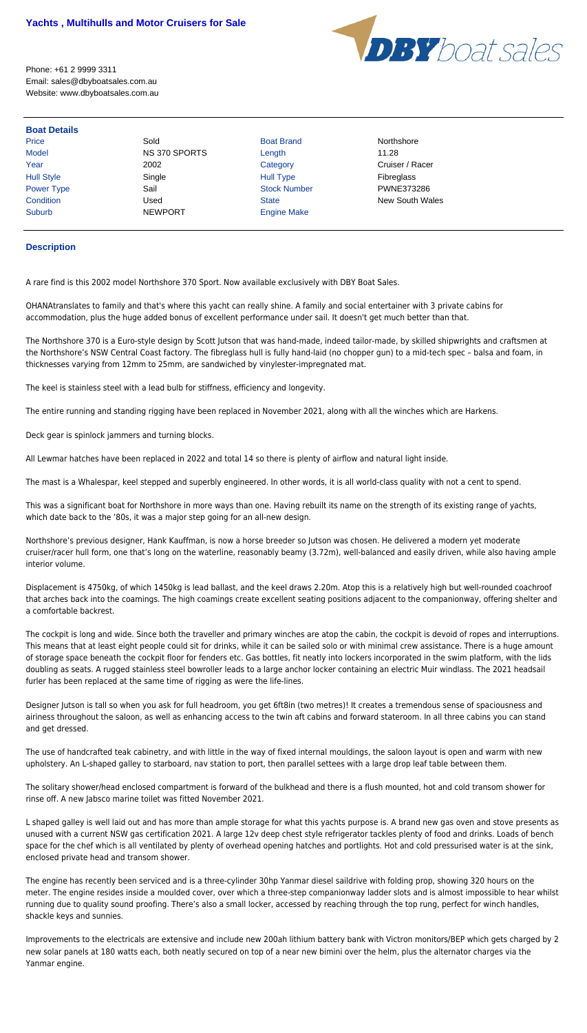

Phone: +61 2 9999 3311 Email: sales@dbyboatsales.com.au Website: www.dbyboatsales.com.au

## **Boat Details**

Price **Sold Boat Brand Accompany Sold** Boat Brand Northshore Model **NS 370 SPORTS** Length 11.28 Hull Style  $\begin{array}{ccc} \text{Single} & \text{Single} & \text{Hull Type} \end{array}$ Power Type **Sail Sail Stock Number PWNE373286** Suburb NEWPORT Engine Make

Year 2002 2002 Category Category Cruiser / Racer **Condition** Condition Used Used State State New South Wales

## **Description**

A rare find is this 2002 model Northshore 370 Sport. Now available exclusively with DBY Boat Sales.

OHANAtranslates to family and that's where this yacht can really shine. A family and social entertainer with 3 private cabins for accommodation, plus the huge added bonus of excellent performance under sail. It doesn't get much better than that.

The Northshore 370 is a Euro-style design by Scott Jutson that was hand-made, indeed tailor-made, by skilled shipwrights and craftsmen at the Northshore's NSW Central Coast factory. The fibreglass hull is fully hand-laid (no chopper gun) to a mid-tech spec – balsa and foam, in thicknesses varying from 12mm to 25mm, are sandwiched by vinylester-impregnated mat.

The keel is stainless steel with a lead bulb for stiffness, efficiency and longevity.

The entire running and standing rigging have been replaced in November 2021, along with all the winches which are Harkens.

Deck gear is spinlock jammers and turning blocks.

All Lewmar hatches have been replaced in 2022 and total 14 so there is plenty of airflow and natural light inside.

The mast is a Whalespar, keel stepped and superbly engineered. In other words, it is all world-class quality with not a cent to spend.

This was a significant boat for Northshore in more ways than one. Having rebuilt its name on the strength of its existing range of yachts, which date back to the '80s, it was a major step going for an all-new design.

Northshore's previous designer, Hank Kauffman, is now a horse breeder so Jutson was chosen. He delivered a modern yet moderate cruiser/racer hull form, one that's long on the waterline, reasonably beamy (3.72m), well-balanced and easily driven, while also having ample interior volume.

Displacement is 4750kg, of which 1450kg is lead ballast, and the keel draws 2.20m. Atop this is a relatively high but well-rounded coachroof that arches back into the coamings. The high coamings create excellent seating positions adjacent to the companionway, offering shelter and a comfortable backrest.

The cockpit is long and wide. Since both the traveller and primary winches are atop the cabin, the cockpit is devoid of ropes and interruptions. This means that at least eight people could sit for drinks, while it can be sailed solo or with minimal crew assistance. There is a huge amount of storage space beneath the cockpit floor for fenders etc. Gas bottles, fit neatly into lockers incorporated in the swim platform, with the lids doubling as seats. A rugged stainless steel bowroller leads to a large anchor locker containing an electric Muir windlass. The 2021 headsail furler has been replaced at the same time of rigging as were the life-lines.

Designer Jutson is tall so when you ask for full headroom, you get 6ft8in (two metres)! It creates a tremendous sense of spaciousness and airiness throughout the saloon, as well as enhancing access to the twin aft cabins and forward stateroom. In all three cabins you can stand and get dressed.

The use of handcrafted teak cabinetry, and with little in the way of fixed internal mouldings, the saloon layout is open and warm with new upholstery. An L-shaped galley to starboard, nav station to port, then parallel settees with a large drop leaf table between them.

The solitary shower/head enclosed compartment is forward of the bulkhead and there is a flush mounted, hot and cold transom shower for rinse off. A new Jabsco marine toilet was fitted November 2021.

L shaped galley is well laid out and has more than ample storage for what this yachts purpose is. A brand new gas oven and stove presents as unused with a current NSW gas certification 2021. A large 12v deep chest style refrigerator tackles plenty of food and drinks. Loads of bench space for the chef which is all ventilated by plenty of overhead opening hatches and portlights. Hot and cold pressurised water is at the sink, enclosed private head and transom shower.

The engine has recently been serviced and is a three-cylinder 30hp Yanmar diesel saildrive with folding prop, showing 320 hours on the meter. The engine resides inside a moulded cover, over which a three-step companionway ladder slots and is almost impossible to hear whilst running due to quality sound proofing. There's also a small locker, accessed by reaching through the top rung, perfect for winch handles, shackle keys and sunnies.

Improvements to the electricals are extensive and include new 200ah lithium battery bank with Victron monitors/BEP which gets charged by 2 new solar panels at 180 watts each, both neatly secured on top of a near new bimini over the helm, plus the alternator charges via the Yanmar engine.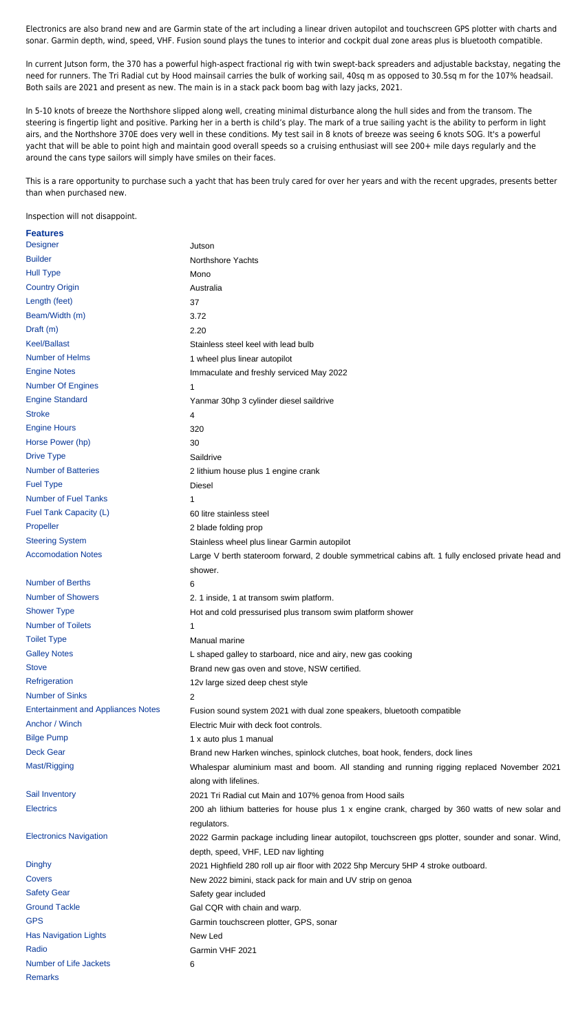Electronics are also brand new and are Garmin state of the art including a linear driven autopilot and touchscreen GPS plotter with charts and sonar. Garmin depth, wind, speed, VHF. Fusion sound plays the tunes to interior and cockpit dual zone areas plus is bluetooth compatible.

In current Jutson form, the 370 has a powerful high-aspect fractional rig with twin swept-back spreaders and adjustable backstay, negating the need for runners. The Tri Radial cut by Hood mainsail carries the bulk of working sail, 40sq m as opposed to 30.5sq m for the 107% headsail. Both sails are 2021 and present as new. The main is in a stack pack boom bag with lazy jacks, 2021.

In 5-10 knots of breeze the Northshore slipped along well, creating minimal disturbance along the hull sides and from the transom. The steering is fingertip light and positive. Parking her in a berth is child's play. The mark of a true sailing yacht is the ability to perform in light airs, and the Northshore 370E does very well in these conditions. My test sail in 8 knots of breeze was seeing 6 knots SOG. It's a powerful yacht that will be able to point high and maintain good overall speeds so a cruising enthusiast will see 200+ mile days regularly and the around the cans type sailors will simply have smiles on their faces.

This is a rare opportunity to purchase such a yacht that has been truly cared for over her years and with the recent upgrades, presents better than when purchased new.

Inspection will not disappoint.

| <b>Features</b>                           |                                                                                                                |
|-------------------------------------------|----------------------------------------------------------------------------------------------------------------|
| <b>Designer</b>                           | Jutson                                                                                                         |
| <b>Builder</b>                            | Northshore Yachts                                                                                              |
| <b>Hull Type</b>                          | Mono                                                                                                           |
| <b>Country Origin</b>                     | Australia                                                                                                      |
| Length (feet)                             | 37                                                                                                             |
| Beam/Width (m)                            | 3.72                                                                                                           |
| Draft (m)                                 | 2.20                                                                                                           |
| <b>Keel/Ballast</b>                       | Stainless steel keel with lead bulb                                                                            |
| Number of Helms                           | 1 wheel plus linear autopilot                                                                                  |
| <b>Engine Notes</b>                       | Immaculate and freshly serviced May 2022                                                                       |
| <b>Number Of Engines</b>                  | 1                                                                                                              |
| <b>Engine Standard</b>                    | Yanmar 30hp 3 cylinder diesel saildrive                                                                        |
| <b>Stroke</b>                             | 4                                                                                                              |
| <b>Engine Hours</b>                       | 320                                                                                                            |
| Horse Power (hp)                          | 30                                                                                                             |
| <b>Drive Type</b>                         | Saildrive                                                                                                      |
| <b>Number of Batteries</b>                | 2 lithium house plus 1 engine crank                                                                            |
| <b>Fuel Type</b>                          | <b>Diesel</b>                                                                                                  |
| <b>Number of Fuel Tanks</b>               | 1                                                                                                              |
| Fuel Tank Capacity (L)                    | 60 litre stainless steel                                                                                       |
| Propeller                                 | 2 blade folding prop                                                                                           |
| <b>Steering System</b>                    | Stainless wheel plus linear Garmin autopilot                                                                   |
| <b>Accomodation Notes</b>                 | Large V berth stateroom forward, 2 double symmetrical cabins aft. 1 fully enclosed private head and            |
|                                           | shower.                                                                                                        |
| <b>Number of Berths</b>                   | 6                                                                                                              |
| <b>Number of Showers</b>                  | 2. 1 inside, 1 at transom swim platform.                                                                       |
| <b>Shower Type</b>                        | Hot and cold pressurised plus transom swim platform shower                                                     |
| <b>Number of Toilets</b>                  | 1                                                                                                              |
| <b>Toilet Type</b>                        | Manual marine                                                                                                  |
| <b>Galley Notes</b>                       | L shaped galley to starboard, nice and airy, new gas cooking                                                   |
| <b>Stove</b>                              | Brand new gas oven and stove, NSW certified.                                                                   |
| Refrigeration                             | 12v large sized deep chest style                                                                               |
| <b>Number of Sinks</b>                    | $\overline{2}$                                                                                                 |
| <b>Entertainment and Appliances Notes</b> | Fusion sound system 2021 with dual zone speakers, bluetooth compatible                                         |
| Anchor / Winch                            | Electric Muir with deck foot controls.                                                                         |
| <b>Bilge Pump</b>                         | 1 x auto plus 1 manual                                                                                         |
| <b>Deck Gear</b>                          | Brand new Harken winches, spinlock clutches, boat hook, fenders, dock lines                                    |
| Mast/Rigging                              | Whalespar aluminium mast and boom. All standing and running rigging replaced November 2021                     |
|                                           | along with lifelines.                                                                                          |
| Sail Inventory                            | 2021 Tri Radial cut Main and 107% genoa from Hood sails                                                        |
| <b>Electrics</b>                          | 200 ah lithium batteries for house plus 1 x engine crank, charged by 360 watts of new solar and<br>regulators. |
| <b>Electronics Navigation</b>             | 2022 Garmin package including linear autopilot, touchscreen gps plotter, sounder and sonar. Wind,              |
|                                           | depth, speed, VHF, LED nav lighting                                                                            |
| <b>Dinghy</b>                             | 2021 Highfield 280 roll up air floor with 2022 5hp Mercury 5HP 4 stroke outboard.                              |
| Covers                                    | New 2022 bimini, stack pack for main and UV strip on genoa                                                     |
| <b>Safety Gear</b>                        | Safety gear included                                                                                           |
| <b>Ground Tackle</b>                      | Gal CQR with chain and warp.                                                                                   |
| <b>GPS</b>                                | Garmin touchscreen plotter, GPS, sonar                                                                         |
| <b>Has Navigation Lights</b>              | New Led                                                                                                        |
| Radio                                     | Garmin VHF 2021                                                                                                |
| <b>Number of Life Jackets</b>             | 6                                                                                                              |
| <b>Remarks</b>                            |                                                                                                                |